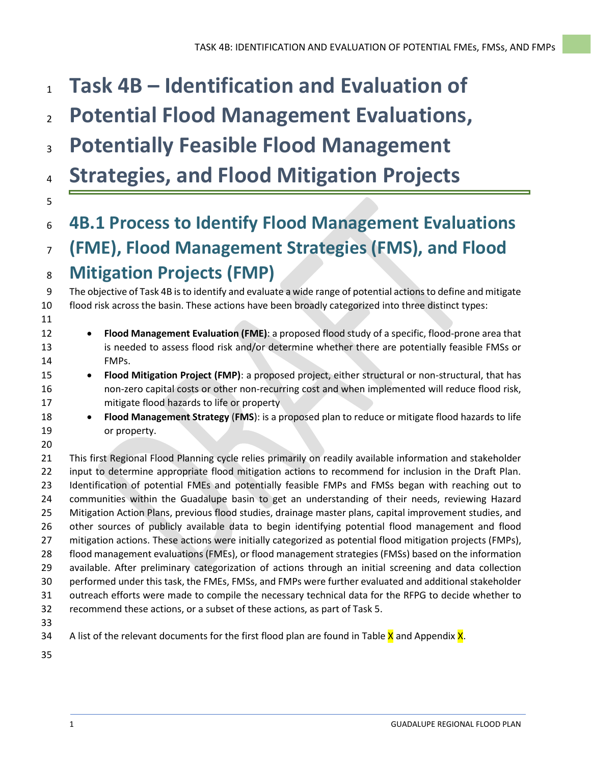# **Task 4B – Identification and Evaluation of**

- **Potential Flood Management Evaluations,**
- **Potentially Feasible Flood Management**
- **Strategies, and Flood Mitigation Projects**
- **4B.1 Process to Identify Flood Management Evaluations**

## **(FME), Flood Management Strategies (FMS), and Flood Mitigation Projects (FMP)**

 The objective of Task 4B is to identify and evaluate a wide range of potential actions to define and mitigate flood risk across the basin. These actions have been broadly categorized into three distinct types:

- **Flood Management Evaluation (FME)**: a proposed flood study of a specific, flood-prone area that is needed to assess flood risk and/or determine whether there are potentially feasible FMSs or FMPs.
- **Flood Mitigation Project (FMP)**: a proposed project, either structural or non-structural, that has non-zero capital costs or other non-recurring cost and when implemented will reduce flood risk, mitigate flood hazards to life or property
- **Flood Management Strategy** (**FMS**): is a proposed plan to reduce or mitigate flood hazards to life or property.
- 

 This first Regional Flood Planning cycle relies primarily on readily available information and stakeholder input to determine appropriate flood mitigation actions to recommend for inclusion in the Draft Plan. Identification of potential FMEs and potentially feasible FMPs and FMSs began with reaching out to communities within the Guadalupe basin to get an understanding of their needs, reviewing Hazard Mitigation Action Plans, previous flood studies, drainage master plans, capital improvement studies, and other sources of publicly available data to begin identifying potential flood management and flood mitigation actions. These actions were initially categorized as potential flood mitigation projects (FMPs), flood management evaluations (FMEs), or flood management strategies (FMSs) based on the information available. After preliminary categorization of actions through an initial screening and data collection performed under this task, the FMEs, FMSs, and FMPs were further evaluated and additional stakeholder outreach efforts were made to compile the necessary technical data for the RFPG to decide whether to recommend these actions, or a subset of these actions, as part of Task 5.

- 
- 34 A list of the relevant documents for the first flood plan are found in Table  $\bar{X}$  and Appendix  $\bar{X}$ .
-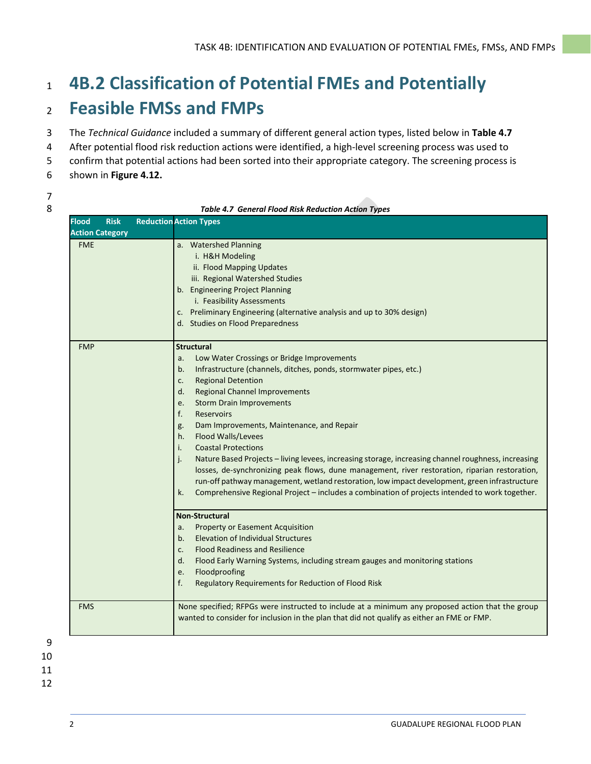## <sup>1</sup> **4B.2 Classification of Potential FMEs and Potentially**  <sup>2</sup> **Feasible FMSs and FMPs**

- 3 The *Technical Guidance* included a summary of different general action types, listed below in **Table 4.7**
- 4 After potential flood risk reduction actions were identified, a high-level screening process was used to
- 5 confirm that potential actions had been sorted into their appropriate category. The screening process is
- 6 shown in **Figure 4.12.**
- 7

8 *Table 4.7 General Flood Risk Reduction Action Types*

| <b>Flood</b> | <b>Risk</b>            | <b>Reduction Action Types</b>                                                                                                                                                                                                                                                                                                                                                                                                                                                                                                                                                                                                                                                                                                                                                                                                                                                                                                                                                                                                                                                                                                                                                                          |
|--------------|------------------------|--------------------------------------------------------------------------------------------------------------------------------------------------------------------------------------------------------------------------------------------------------------------------------------------------------------------------------------------------------------------------------------------------------------------------------------------------------------------------------------------------------------------------------------------------------------------------------------------------------------------------------------------------------------------------------------------------------------------------------------------------------------------------------------------------------------------------------------------------------------------------------------------------------------------------------------------------------------------------------------------------------------------------------------------------------------------------------------------------------------------------------------------------------------------------------------------------------|
|              | <b>Action Category</b> |                                                                                                                                                                                                                                                                                                                                                                                                                                                                                                                                                                                                                                                                                                                                                                                                                                                                                                                                                                                                                                                                                                                                                                                                        |
| <b>FME</b>   |                        | a. Watershed Planning<br>i. H&H Modeling<br>ii. Flood Mapping Updates<br>iii. Regional Watershed Studies<br>b. Engineering Project Planning<br>i. Feasibility Assessments<br>c. Preliminary Engineering (alternative analysis and up to 30% design)<br>d. Studies on Flood Preparedness                                                                                                                                                                                                                                                                                                                                                                                                                                                                                                                                                                                                                                                                                                                                                                                                                                                                                                                |
| <b>FMP</b>   |                        | <b>Structural</b><br>Low Water Crossings or Bridge Improvements<br>a.<br>Infrastructure (channels, ditches, ponds, stormwater pipes, etc.)<br>b.<br><b>Regional Detention</b><br>c.<br><b>Regional Channel Improvements</b><br>d.<br><b>Storm Drain Improvements</b><br>e.<br>f.<br><b>Reservoirs</b><br>Dam Improvements, Maintenance, and Repair<br>g.<br>Flood Walls/Levees<br>h.<br><b>Coastal Protections</b><br>i.<br>Nature Based Projects - living levees, increasing storage, increasing channel roughness, increasing<br>j.<br>losses, de-synchronizing peak flows, dune management, river restoration, riparian restoration,<br>run-off pathway management, wetland restoration, low impact development, green infrastructure<br>Comprehensive Regional Project - includes a combination of projects intended to work together.<br>k.<br><b>Non-Structural</b><br><b>Property or Easement Acquisition</b><br>a.<br><b>Elevation of Individual Structures</b><br>b.<br><b>Flood Readiness and Resilience</b><br>c.<br>Flood Early Warning Systems, including stream gauges and monitoring stations<br>d.<br>Floodproofing<br>e.<br>f.<br>Regulatory Requirements for Reduction of Flood Risk |
| <b>FMS</b>   |                        | None specified; RFPGs were instructed to include at a minimum any proposed action that the group<br>wanted to consider for inclusion in the plan that did not qualify as either an FME or FMP.                                                                                                                                                                                                                                                                                                                                                                                                                                                                                                                                                                                                                                                                                                                                                                                                                                                                                                                                                                                                         |

11 12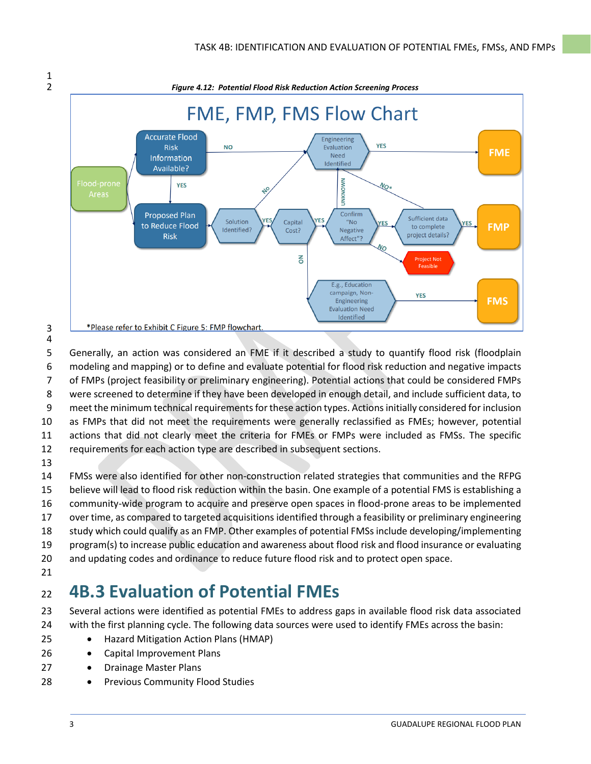

 $\frac{1}{2}$ 

 Generally, an action was considered an FME if it described a study to quantify flood risk (floodplain modeling and mapping) or to define and evaluate potential for flood risk reduction and negative impacts of FMPs (project feasibility or preliminary engineering). Potential actions that could be considered FMPs were screened to determine if they have been developed in enough detail, and include sufficient data, to 9 meet the minimum technical requirements for these action types. Actions initially considered for inclusion as FMPs that did not meet the requirements were generally reclassified as FMEs; however, potential actions that did not clearly meet the criteria for FMEs or FMPs were included as FMSs. The specific requirements for each action type are described in subsequent sections.

 FMSs were also identified for other non-construction related strategies that communities and the RFPG believe will lead to flood risk reduction within the basin. One example of a potential FMS is establishing a community-wide program to acquire and preserve open spaces in flood-prone areas to be implemented over time, as compared to targeted acquisitions identified through a feasibility or preliminary engineering study which could qualify as an FMP. Other examples of potential FMSs include developing/implementing program(s) to increase public education and awareness about flood risk and flood insurance or evaluating and updating codes and ordinance to reduce future flood risk and to protect open space. 

## **4B.3 Evaluation of Potential FMEs**

 Several actions were identified as potential FMEs to address gaps in available flood risk data associated with the first planning cycle. The following data sources were used to identify FMEs across the basin:

- Hazard Mitigation Action Plans (HMAP)
- 26 Capital Improvement Plans
- 27 Drainage Master Plans
- 28 Previous Community Flood Studies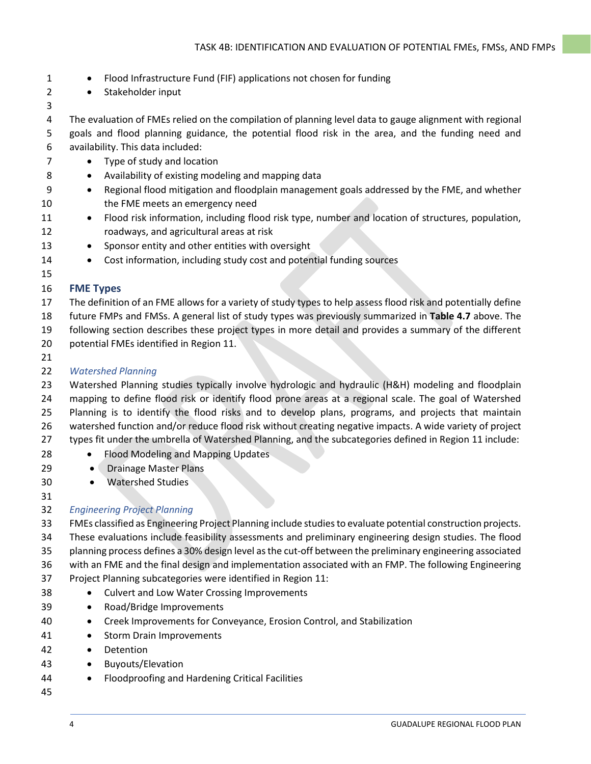- 1 Flood Infrastructure Fund (FIF) applications not chosen for funding
- Stakeholder input
- 
- 

 The evaluation of FMEs relied on the compilation of planning level data to gauge alignment with regional goals and flood planning guidance, the potential flood risk in the area, and the funding need and availability. This data included:

- 7 Type of study and location
- 8 Availability of existing modeling and mapping data
- Regional flood mitigation and floodplain management goals addressed by the FME, and whether the FME meets an emergency need
- Flood risk information, including flood risk type, number and location of structures, population, roadways, and agricultural areas at risk
- Sponsor entity and other entities with oversight
- 14 Cost information, including study cost and potential funding sources
- 

## **FME Types**

- The definition of an FME allows for a variety of study types to help assess flood risk and potentially define
- future FMPs and FMSs. A general list of study types was previously summarized in **Table 4.7** above. The
- following section describes these project types in more detail and provides a summary of the different potential FMEs identified in Region 11.
- 
- *Watershed Planning*

 Watershed Planning studies typically involve hydrologic and hydraulic (H&H) modeling and floodplain mapping to define flood risk or identify flood prone areas at a regional scale. The goal of Watershed Planning is to identify the flood risks and to develop plans, programs, and projects that maintain watershed function and/or reduce flood risk without creating negative impacts. A wide variety of project types fit under the umbrella of Watershed Planning, and the subcategories defined in Region 11 include:

- 28 Flood Modeling and Mapping Updates
- 29 Drainage Master Plans
- Watershed Studies

## *Engineering Project Planning*

 FMEs classified as Engineering Project Planning include studies to evaluate potential construction projects. These evaluations include feasibility assessments and preliminary engineering design studies. The flood planning process defines a 30% design level as the cut-off between the preliminary engineering associated with an FME and the final design and implementation associated with an FMP. The following Engineering Project Planning subcategories were identified in Region 11:

- Culvert and Low Water Crossing Improvements
- Road/Bridge Improvements
- Creek Improvements for Conveyance, Erosion Control, and Stabilization
- Storm Drain Improvements
- Detention
- Buyouts/Elevation
- Floodproofing and Hardening Critical Facilities
-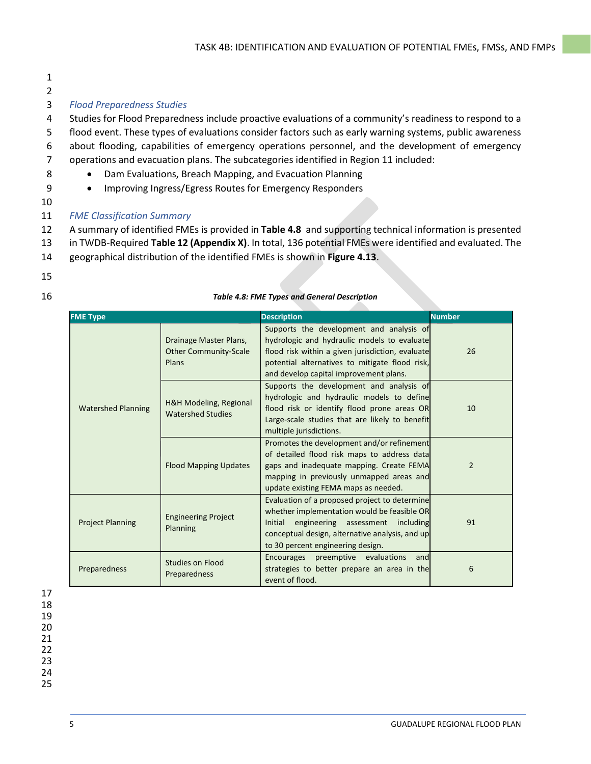- 1
- 2

### 3 *Flood Preparedness Studies*

 Studies for Flood Preparedness include proactive evaluations of a community's readiness to respond to a flood event. These types of evaluations consider factors such as early warning systems, public awareness about flooding, capabilities of emergency operations personnel, and the development of emergency operations and evacuation plans. The subcategories identified in Region 11 included:

- 8 Dam Evaluations, Breach Mapping, and Evacuation Planning
- 9 Improving Ingress/Egress Routes for Emergency Responders
- 10
- 11 *FME Classification Summary*
- 12 A summary of identified FMEs is provided in **[Table 4.8](#page-4-0)** and supporting technical information is presented
- 13 in TWDB-Required **Table 12 (Appendix X)**. In total, 136 potential FMEs were identified and evaluated. The
- 14 geographical distribution of the identified FMEs is shown in **Figure 4.13**.
- 15
- 16 *Table 4.8: FME Types and General Description*

<span id="page-4-0"></span>

| <b>FME</b> Type           |                                                                 | <b>Description</b>                                                                                                                                                                                                                      | <b>Number</b>  |
|---------------------------|-----------------------------------------------------------------|-----------------------------------------------------------------------------------------------------------------------------------------------------------------------------------------------------------------------------------------|----------------|
|                           | Drainage Master Plans,<br><b>Other Community-Scale</b><br>Plans | Supports the development and analysis of<br>hydrologic and hydraulic models to evaluate<br>flood risk within a given jurisdiction, evaluate<br>potential alternatives to mitigate flood risk,<br>and develop capital improvement plans. | 26             |
| <b>Watershed Planning</b> | H&H Modeling, Regional<br><b>Watershed Studies</b>              | Supports the development and analysis of<br>hydrologic and hydraulic models to define<br>flood risk or identify flood prone areas OR<br>Large-scale studies that are likely to benefit<br>multiple jurisdictions.                       | 10             |
|                           | <b>Flood Mapping Updates</b>                                    | Promotes the development and/or refinement<br>of detailed flood risk maps to address data<br>gaps and inadequate mapping. Create FEMA<br>mapping in previously unmapped areas and<br>update existing FEMA maps as needed.               | $\overline{2}$ |
| <b>Project Planning</b>   | <b>Engineering Project</b><br>Planning                          | Evaluation of a proposed project to determine<br>whether implementation would be feasible OR<br>Initial<br>engineering assessment including<br>conceptual design, alternative analysis, and up<br>to 30 percent engineering design.     | 91             |
| Preparedness              | <b>Studies on Flood</b><br>Preparedness                         | Encourages preemptive evaluations<br>andl<br>strategies to better prepare an area in the<br>event of flood.                                                                                                                             | 6              |

### 17 18 19 20 21 22 23 24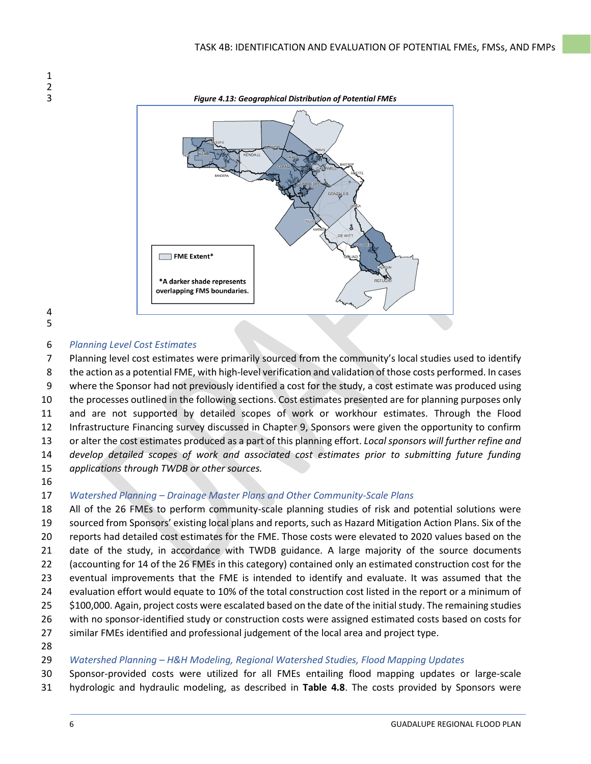



## *Planning Level Cost Estimates*

 Planning level cost estimates were primarily sourced from the community's local studies used to identify the action as a potential FME, with high-level verification and validation of those costs performed. In cases where the Sponsor had not previously identified a cost for the study, a cost estimate was produced using the processes outlined in the following sections. Cost estimates presented are for planning purposes only and are not supported by detailed scopes of work or workhour estimates. Through the Flood Infrastructure Financing survey discussed in Chapter 9, Sponsors were given the opportunity to confirm or alter the cost estimates produced as a part of this planning effort. *Local sponsors will further refine and develop detailed scopes of work and associated cost estimates prior to submitting future funding applications through TWDB or other sources.*

## *Watershed Planning – Drainage Master Plans and Other Community-Scale Plans*

 All of the 26 FMEs to perform community-scale planning studies of risk and potential solutions were sourced from Sponsors' existing local plans and reports, such as Hazard Mitigation Action Plans. Six of the reports had detailed cost estimates for the FME. Those costs were elevated to 2020 values based on the date of the study, in accordance with TWDB guidance. A large majority of the source documents (accounting for 14 of the 26 FMEs in this category) contained only an estimated construction cost for the eventual improvements that the FME is intended to identify and evaluate. It was assumed that the evaluation effort would equate to 10% of the total construction cost listed in the report or a minimum of \$100,000. Again, project costs were escalated based on the date of the initial study. The remaining studies with no sponsor-identified study or construction costs were assigned estimated costs based on costs for similar FMEs identified and professional judgement of the local area and project type.

## *Watershed Planning – H&H Modeling, Regional Watershed Studies, Flood Mapping Updates*

 Sponsor-provided costs were utilized for all FMEs entailing flood mapping updates or large-scale hydrologic and hydraulic modeling, as described in **Table 4.8**. The costs provided by Sponsors were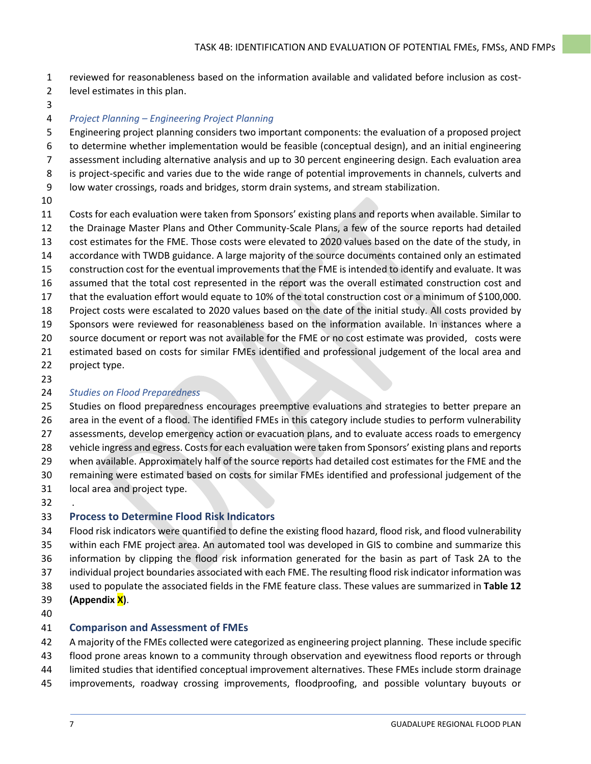- reviewed for reasonableness based on the information available and validated before inclusion as cost-
- level estimates in this plan.
- 

## *Project Planning – Engineering Project Planning*

 Engineering project planning considers two important components: the evaluation of a proposed project to determine whether implementation would be feasible (conceptual design), and an initial engineering assessment including alternative analysis and up to 30 percent engineering design. Each evaluation area is project-specific and varies due to the wide range of potential improvements in channels, culverts and

- low water crossings, roads and bridges, storm drain systems, and stream stabilization.
- 

 Costs for each evaluation were taken from Sponsors' existing plans and reports when available. Similar to the Drainage Master Plans and Other Community-Scale Plans, a few of the source reports had detailed cost estimates for the FME. Those costs were elevated to 2020 values based on the date of the study, in accordance with TWDB guidance. A large majority of the source documents contained only an estimated construction cost for the eventual improvements that the FME is intended to identify and evaluate. It was assumed that the total cost represented in the report was the overall estimated construction cost and that the evaluation effort would equate to 10% of the total construction cost or a minimum of \$100,000. Project costs were escalated to 2020 values based on the date of the initial study. All costs provided by Sponsors were reviewed for reasonableness based on the information available. In instances where a source document or report was not available for the FME or no cost estimate was provided, costs were estimated based on costs for similar FMEs identified and professional judgement of the local area and

- project type.
- 

## *Studies on Flood Preparedness*

 Studies on flood preparedness encourages preemptive evaluations and strategies to better prepare an area in the event of a flood. The identified FMEs in this category include studies to perform vulnerability assessments, develop emergency action or evacuation plans, and to evaluate access roads to emergency vehicle ingress and egress. Costs for each evaluation were taken from Sponsors' existing plans and reports when available. Approximately half of the source reports had detailed cost estimates for the FME and the remaining were estimated based on costs for similar FMEs identified and professional judgement of the local area and project type.

.

## **Process to Determine Flood Risk Indicators**

 Flood risk indicators were quantified to define the existing flood hazard, flood risk, and flood vulnerability within each FME project area. An automated tool was developed in GIS to combine and summarize this information by clipping the flood risk information generated for the basin as part of Task 2A to the individual project boundaries associated with each FME. The resulting flood risk indicator information was used to populate the associated fields in the FME feature class. These values are summarized in **Table 12 (Appendix X)**.

## **Comparison and Assessment of FMEs**

A majority of the FMEs collected were categorized as engineering project planning. These include specific

- flood prone areas known to a community through observation and eyewitness flood reports or through
- limited studies that identified conceptual improvement alternatives. These FMEs include storm drainage
- improvements, roadway crossing improvements, floodproofing, and possible voluntary buyouts or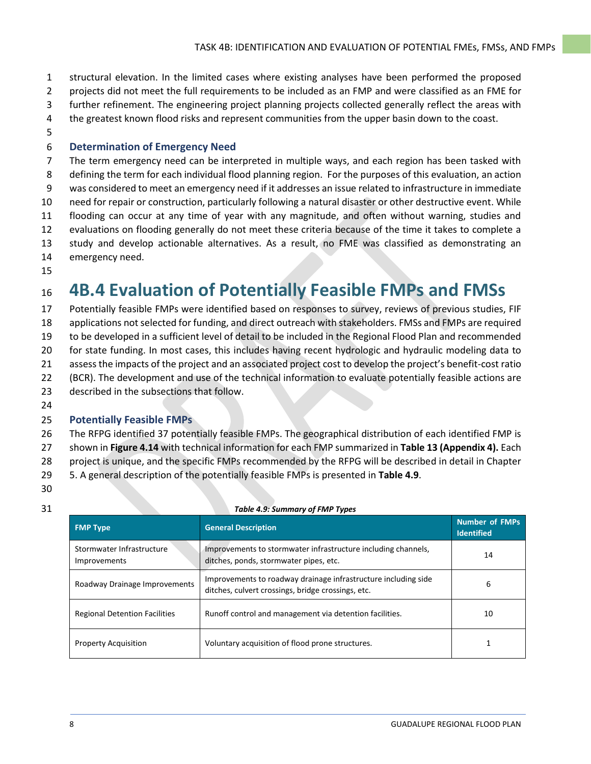- structural elevation. In the limited cases where existing analyses have been performed the proposed
- projects did not meet the full requirements to be included as an FMP and were classified as an FME for
- further refinement. The engineering project planning projects collected generally reflect the areas with
- 4 the greatest known flood risks and represent communities from the upper basin down to the coast.
- 

## **Determination of Emergency Need**

 The term emergency need can be interpreted in multiple ways, and each region has been tasked with defining the term for each individual flood planning region. For the purposes of this evaluation, an action was considered to meet an emergency need if it addresses an issue related to infrastructure in immediate need for repair or construction, particularly following a natural disaster or other destructive event. While flooding can occur at any time of year with any magnitude, and often without warning, studies and evaluations on flooding generally do not meet these criteria because of the time it takes to complete a study and develop actionable alternatives. As a result, no FME was classified as demonstrating an emergency need.

## **4B.4 Evaluation of Potentially Feasible FMPs and FMSs**

 Potentially feasible FMPs were identified based on responses to survey, reviews of previous studies, FIF applications not selected for funding, and direct outreach with stakeholders. FMSs and FMPs are required to be developed in a sufficient level of detail to be included in the Regional Flood Plan and recommended 20 for state funding. In most cases, this includes having recent hydrologic and hydraulic modeling data to assess the impacts of the project and an associated project cost to develop the project's benefit-cost ratio (BCR). The development and use of the technical information to evaluate potentially feasible actions are described in the subsections that follow.

## **Potentially Feasible FMPs**

 The RFPG identified 37 potentially feasible FMPs. The geographical distribution of each identified FMP is shown in **Figure 4.14** with technical information for each FMP summarized in **Table 13 (Appendix 4).** Each project is unique, and the specific FMPs recommended by the RFPG will be described in detail in Chapter

- 5. A general description of the potentially feasible FMPs is presented in **[Table 4.9](#page-7-0)**.
- 

<span id="page-7-0"></span>

| <b>FMP Type</b>                           | <b>General Description</b>                                                                                           | Number of FMPs<br><b>Identified</b> |
|-------------------------------------------|----------------------------------------------------------------------------------------------------------------------|-------------------------------------|
| Stormwater Infrastructure<br>Improvements | Improvements to stormwater infrastructure including channels,<br>ditches, ponds, stormwater pipes, etc.              | 14                                  |
| Roadway Drainage Improvements             | Improvements to roadway drainage infrastructure including side<br>ditches, culvert crossings, bridge crossings, etc. | 6                                   |
| <b>Regional Detention Facilities</b>      | Runoff control and management via detention facilities.                                                              | 10                                  |
| <b>Property Acquisition</b>               | Voluntary acquisition of flood prone structures.                                                                     |                                     |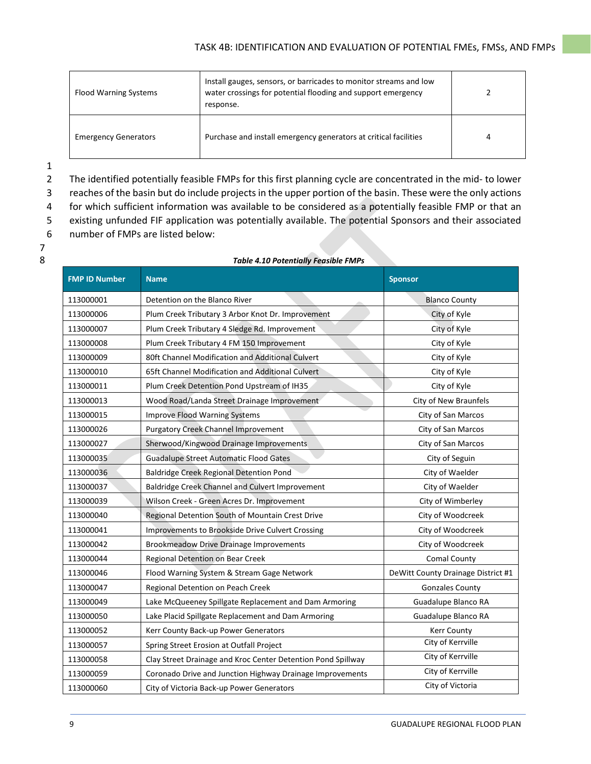| <b>Flood Warning Systems</b> | Install gauges, sensors, or barricades to monitor streams and low<br>water crossings for potential flooding and support emergency<br>response. |   |
|------------------------------|------------------------------------------------------------------------------------------------------------------------------------------------|---|
| <b>Emergency Generators</b>  | Purchase and install emergency generators at critical facilities                                                                               | 4 |

 The identified potentially feasible FMPs for this first planning cycle are concentrated in the mid- to lower reaches of the basin but do include projects in the upper portion of the basin. These were the only actions for which sufficient information was available to be considered as a potentially feasible FMP or that an existing unfunded FIF application was potentially available. The potential Sponsors and their associated number of FMPs are listed below:

| <b>FMP ID Number</b> | <b>Name</b>                                                  | <b>Sponsor</b>                     |
|----------------------|--------------------------------------------------------------|------------------------------------|
| 113000001            | Detention on the Blanco River                                | <b>Blanco County</b>               |
| 113000006            | Plum Creek Tributary 3 Arbor Knot Dr. Improvement            | City of Kyle                       |
| 113000007            | Plum Creek Tributary 4 Sledge Rd. Improvement                | City of Kyle                       |
| 113000008            | Plum Creek Tributary 4 FM 150 Improvement                    | City of Kyle                       |
| 113000009            | 80ft Channel Modification and Additional Culvert             | City of Kyle                       |
| 113000010            | 65ft Channel Modification and Additional Culvert             | City of Kyle                       |
| 113000011            | Plum Creek Detention Pond Upstream of IH35                   | City of Kyle                       |
| 113000013            | Wood Road/Landa Street Drainage Improvement                  | City of New Braunfels              |
| 113000015            | Improve Flood Warning Systems                                | City of San Marcos                 |
| 113000026            | <b>Purgatory Creek Channel Improvement</b>                   | City of San Marcos                 |
| 113000027            | Sherwood/Kingwood Drainage Improvements                      | City of San Marcos                 |
| 113000035            | <b>Guadalupe Street Automatic Flood Gates</b>                | City of Seguin                     |
| 113000036            | Baldridge Creek Regional Detention Pond                      | City of Waelder                    |
| 113000037            | Baldridge Creek Channel and Culvert Improvement              | City of Waelder                    |
| 113000039            | Wilson Creek - Green Acres Dr. Improvement                   | City of Wimberley                  |
| 113000040            | Regional Detention South of Mountain Crest Drive             | City of Woodcreek                  |
| 113000041            | Improvements to Brookside Drive Culvert Crossing             | City of Woodcreek                  |
| 113000042            | <b>Brookmeadow Drive Drainage Improvements</b>               | City of Woodcreek                  |
| 113000044            | Regional Detention on Bear Creek                             | <b>Comal County</b>                |
| 113000046            | Flood Warning System & Stream Gage Network                   | DeWitt County Drainage District #1 |
| 113000047            | Regional Detention on Peach Creek                            | <b>Gonzales County</b>             |
| 113000049            | Lake McQueeney Spillgate Replacement and Dam Armoring        | Guadalupe Blanco RA                |
| 113000050            | Lake Placid Spillgate Replacement and Dam Armoring           | Guadalupe Blanco RA                |
| 113000052            | Kerr County Back-up Power Generators                         | <b>Kerr County</b>                 |
| 113000057            | Spring Street Erosion at Outfall Project                     | City of Kerrville                  |
| 113000058            | Clay Street Drainage and Kroc Center Detention Pond Spillway | City of Kerrville                  |
| 113000059            | Coronado Drive and Junction Highway Drainage Improvements    | City of Kerrville                  |
| 113000060            | City of Victoria Back-up Power Generators                    | City of Victoria                   |

#### *Table 4.10 Potentially Feasible FMPs*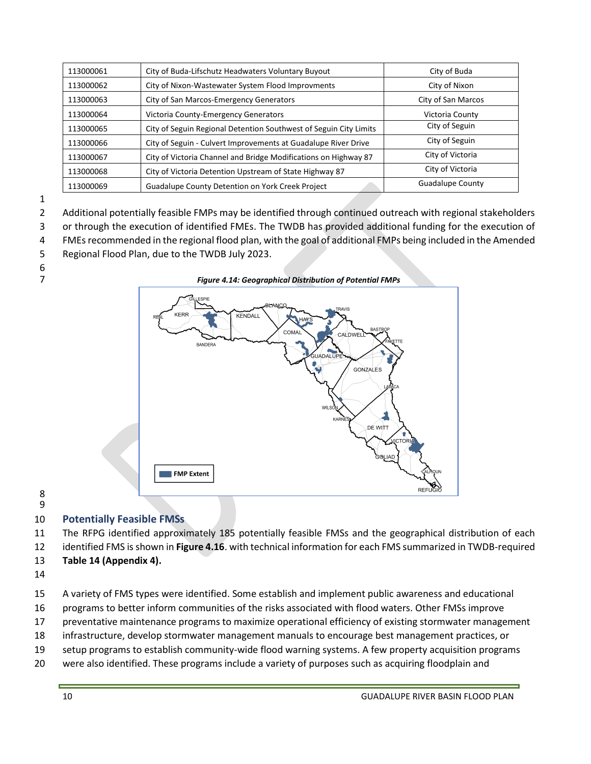| 113000061 | City of Buda-Lifschutz Headwaters Voluntary Buyout                | City of Buda            |
|-----------|-------------------------------------------------------------------|-------------------------|
| 113000062 | City of Nixon-Wastewater System Flood Improvments                 | City of Nixon           |
| 113000063 | City of San Marcos-Emergency Generators                           | City of San Marcos      |
| 113000064 | Victoria County-Emergency Generators                              | Victoria County         |
| 113000065 | City of Seguin Regional Detention Southwest of Seguin City Limits | City of Seguin          |
| 113000066 | City of Seguin - Culvert Improvements at Guadalupe River Drive    | City of Seguin          |
| 113000067 | City of Victoria Channel and Bridge Modifications on Highway 87   | City of Victoria        |
| 113000068 | City of Victoria Detention Upstream of State Highway 87           | City of Victoria        |
| 113000069 | <b>Guadalupe County Detention on York Creek Project</b>           | <b>Guadalupe County</b> |

Additional potentially feasible FMPs may be identified through continued outreach with regional stakeholders

or through the execution of identified FMEs. The TWDB has provided additional funding for the execution of

FMEs recommended in the regional flood plan, with the goal of additional FMPs being included in the Amended

- Regional Flood Plan, due to the TWDB July 2023.
- 



 

## **Potentially Feasible FMSs**

The RFPG identified approximately 185 potentially feasible FMSs and the geographical distribution of each

identified FMS is shown in **Figure 4.16**. with technical information for each FMS summarized in TWDB-required

## **Table 14 (Appendix 4).**

A variety of FMS types were identified. Some establish and implement public awareness and educational

programs to better inform communities of the risks associated with flood waters. Other FMSs improve

preventative maintenance programs to maximize operational efficiency of existing stormwater management

- infrastructure, develop stormwater management manuals to encourage best management practices, or
- setup programs to establish community-wide flood warning systems. A few property acquisition programs
- were also identified. These programs include a variety of purposes such as acquiring floodplain and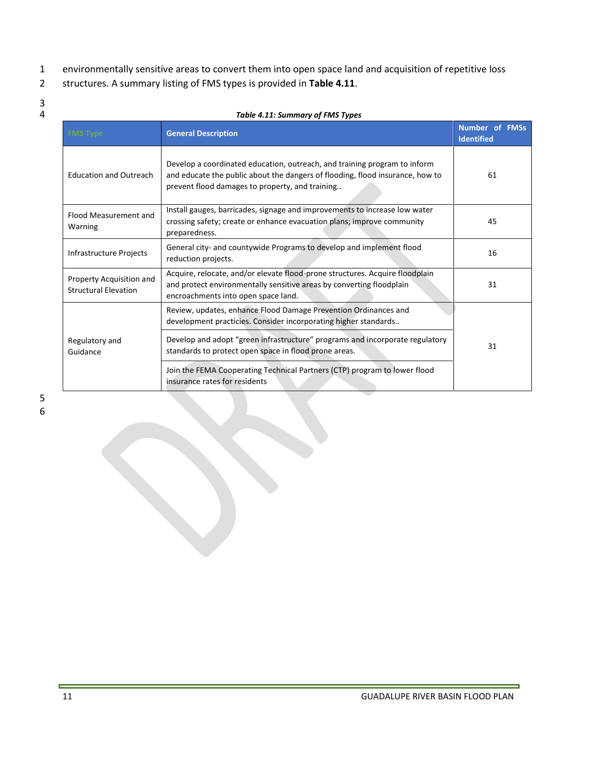- 1 environmentally sensitive areas to convert them into open space land and acquisition of repetitive loss
- 2 structures. A summary listing of FMS types is provided in **Table 4.11**.
- 3<br>4

| Table 4.11: Summary of FMS Types                        |                                                                                                                                                                                                               |    |  |
|---------------------------------------------------------|---------------------------------------------------------------------------------------------------------------------------------------------------------------------------------------------------------------|----|--|
| <b>FMS Type</b>                                         | <b>General Description</b>                                                                                                                                                                                    |    |  |
| <b>Education and Outreach</b>                           | Develop a coordinated education, outreach, and training program to inform<br>and educate the public about the dangers of flooding, flood insurance, how to<br>prevent flood damages to property, and training |    |  |
| Flood Measurement and<br>Warning                        | Install gauges, barricades, signage and improvements to increase low water<br>crossing safety; create or enhance evacuation plans; improve community<br>preparedness.                                         |    |  |
| Infrastructure Projects                                 | General city- and countywide Programs to develop and implement flood<br>reduction projects.                                                                                                                   |    |  |
| Property Acquisition and<br><b>Structural Elevation</b> | Acquire, relocate, and/or elevate flood-prone structures. Acquire floodplain<br>and protect environmentally sensitive areas by converting floodplain<br>encroachments into open space land.                   |    |  |
|                                                         | Review, updates, enhance Flood Damage Prevention Ordinances and<br>development practicies. Consider incorporating higher standards                                                                            | 31 |  |
| Regulatory and<br>Guidance                              | Develop and adopt "green infrastructure" programs and incorporate regulatory<br>standards to protect open space in flood prone areas.                                                                         |    |  |
|                                                         | Join the FEMA Cooperating Technical Partners (CTP) program to lower flood<br>insurance rates for residents                                                                                                    |    |  |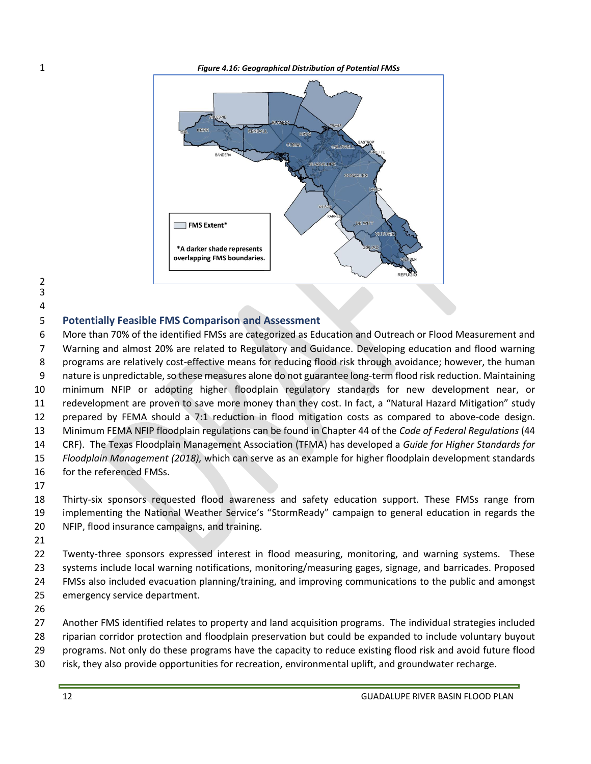

- 
- 

### **Potentially Feasible FMS Comparison and Assessment**

 More than 70% of the identified FMSs are categorized as Education and Outreach or Flood Measurement and Warning and almost 20% are related to Regulatory and Guidance. Developing education and flood warning programs are relatively cost-effective means for reducing flood risk through avoidance; however, the human 9 nature is unpredictable, so these measures alone do not guarantee long-term flood risk reduction. Maintaining minimum NFIP or adopting higher floodplain regulatory standards for new development near, or redevelopment are proven to save more money than they cost. In fact, a "Natural Hazard Mitigation" study prepared by FEMA should a 7:1 reduction in flood mitigation costs as compared to above-code design. Minimum FEMA NFIP floodplain regulations can be found in Chapter 44 of the *Code of Federal Regulations* (44 CRF). The Texas Floodplain Management Association (TFMA) has developed a *Guide for Higher Standards for Floodplain Management (2018),* which can serve as an example for higher floodplain development standards for the referenced FMSs. 

 Thirty-six sponsors requested flood awareness and safety education support. These FMSs range from implementing the National Weather Service's "StormReady" campaign to general education in regards the NFIP, flood insurance campaigns, and training.

 Twenty-three sponsors expressed interest in flood measuring, monitoring, and warning systems. These systems include local warning notifications, monitoring/measuring gages, signage, and barricades. Proposed FMSs also included evacuation planning/training, and improving communications to the public and amongst emergency service department.

 Another FMS identified relates to property and land acquisition programs. The individual strategies included riparian corridor protection and floodplain preservation but could be expanded to include voluntary buyout programs. Not only do these programs have the capacity to reduce existing flood risk and avoid future flood

risk, they also provide opportunities for recreation, environmental uplift, and groundwater recharge.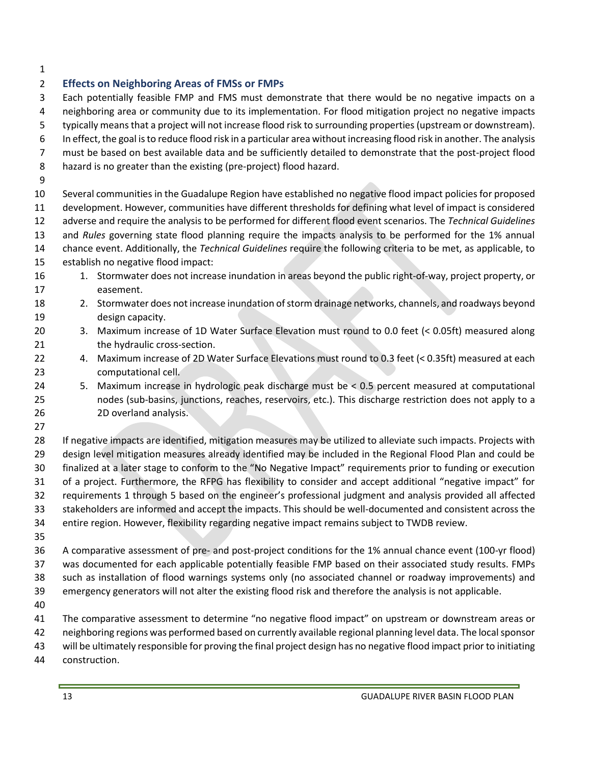## **Effects on Neighboring Areas of FMSs or FMPs** Each potentially feasible FMP and FMS must demonstrate that there would be no negative impacts on a neighboring area or community due to its implementation. For flood mitigation project no negative impacts typically means that a project will not increase flood risk to surrounding properties(upstream or downstream). In effect, the goal is to reduce flood risk in a particular area without increasing flood risk in another. The analysis must be based on best available data and be sufficiently detailed to demonstrate that the post-project flood hazard is no greater than the existing (pre-project) flood hazard. Several communities in the Guadalupe Region have established no negative flood impact policies for proposed development. However, communities have different thresholds for defining what level of impact is considered adverse and require the analysis to be performed for different flood event scenarios. The *Technical Guidelines* and *Rules* governing state flood planning require the impacts analysis to be performed for the 1% annual chance event. Additionally, the *Technical Guidelines* require the following criteria to be met, as applicable, to establish no negative flood impact: 16 16 1. Stormwater does not increase inundation in areas beyond the public right-of-way, project property, or easement. 2. Stormwater does not increase inundation of storm drainage networks, channels, and roadways beyond design capacity. 3. Maximum increase of 1D Water Surface Elevation must round to 0.0 feet (< 0.05ft) measured along 21 the hydraulic cross-section. 4. Maximum increase of 2D Water Surface Elevations must round to 0.3 feet (< 0.35ft) measured at each computational cell. 5. Maximum increase in hydrologic peak discharge must be < 0.5 percent measured at computational nodes (sub-basins, junctions, reaches, reservoirs, etc.). This discharge restriction does not apply to a 2D overland analysis. If negative impacts are identified, mitigation measures may be utilized to alleviate such impacts. Projects with design level mitigation measures already identified may be included in the Regional Flood Plan and could be finalized at a later stage to conform to the "No Negative Impact" requirements prior to funding or execution of a project. Furthermore, the RFPG has flexibility to consider and accept additional "negative impact" for requirements 1 through 5 based on the engineer's professional judgment and analysis provided all affected stakeholders are informed and accept the impacts. This should be well-documented and consistent across the entire region. However, flexibility regarding negative impact remains subject to TWDB review. A comparative assessment of pre- and post-project conditions for the 1% annual chance event (100-yr flood) was documented for each applicable potentially feasible FMP based on their associated study results. FMPs such as installation of flood warnings systems only (no associated channel or roadway improvements) and emergency generators will not alter the existing flood risk and therefore the analysis is not applicable. The comparative assessment to determine "no negative flood impact" on upstream or downstream areas or neighboring regions was performed based on currently available regional planning level data. The local sponsor will be ultimately responsible for proving the final project design has no negative flood impact prior to initiating construction.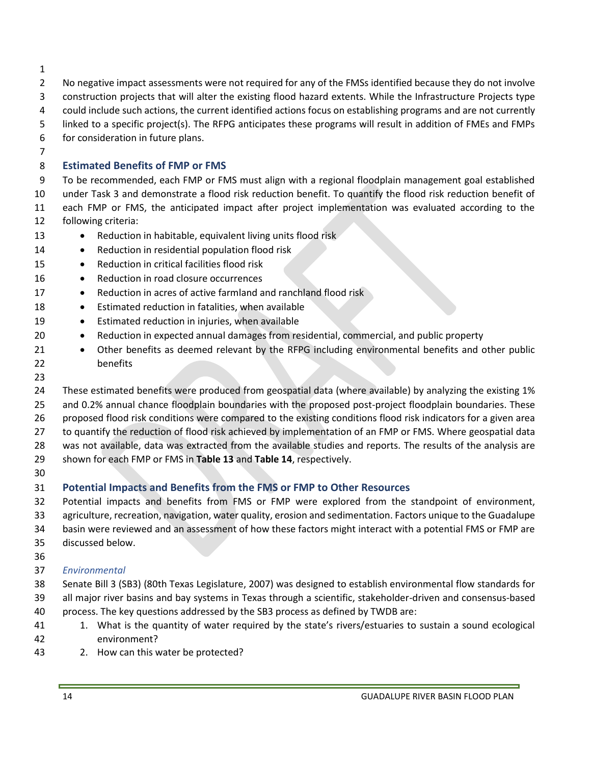- 
- 2 No negative impact assessments were not required for any of the FMSs identified because they do not involve
- construction projects that will alter the existing flood hazard extents. While the Infrastructure Projects type
- could include such actions, the current identified actions focus on establishing programs and are not currently
- linked to a specific project(s). The RFPG anticipates these programs will result in addition of FMEs and FMPs

for consideration in future plans.

## **Estimated Benefits of FMP or FMS**

 To be recommended, each FMP or FMS must align with a regional floodplain management goal established under Task 3 and demonstrate a flood risk reduction benefit. To quantify the flood risk reduction benefit of each FMP or FMS, the anticipated impact after project implementation was evaluated according to the following criteria:

- 13 Reduction in habitable, equivalent living units flood risk
- 14 Reduction in residential population flood risk
- Reduction in critical facilities flood risk
- 16 Reduction in road closure occurrences
- 17 Reduction in acres of active farmland and ranchland flood risk
- 18 Estimated reduction in fatalities, when available
- Estimated reduction in injuries, when available
- Reduction in expected annual damages from residential, commercial, and public property
- 21 Other benefits as deemed relevant by the RFPG including environmental benefits and other public benefits
- 

 These estimated benefits were produced from geospatial data (where available) by analyzing the existing 1% and 0.2% annual chance floodplain boundaries with the proposed post-project floodplain boundaries. These 26 proposed flood risk conditions were compared to the existing conditions flood risk indicators for a given area to quantify the reduction of flood risk achieved by implementation of an FMP or FMS. Where geospatial data was not available, data was extracted from the available studies and reports. The results of the analysis are shown for each FMP or FMS in **Table 13** and **Table 14**, respectively.

## **Potential Impacts and Benefits from the FMS or FMP to Other Resources**

 Potential impacts and benefits from FMS or FMP were explored from the standpoint of environment, agriculture, recreation, navigation, water quality, erosion and sedimentation. Factors unique to the Guadalupe basin were reviewed and an assessment of how these factors might interact with a potential FMS or FMP are discussed below.

## *Environmental*

 Senate Bill 3 (SB3) (80th Texas Legislature, 2007) was designed to establish environmental flow standards for all major river basins and bay systems in Texas through a scientific, stakeholder-driven and consensus-based process. The key questions addressed by the SB3 process as defined by TWDB are:

- 1. What is the quantity of water required by the state's rivers/estuaries to sustain a sound ecological environment?
- 2. How can this water be protected?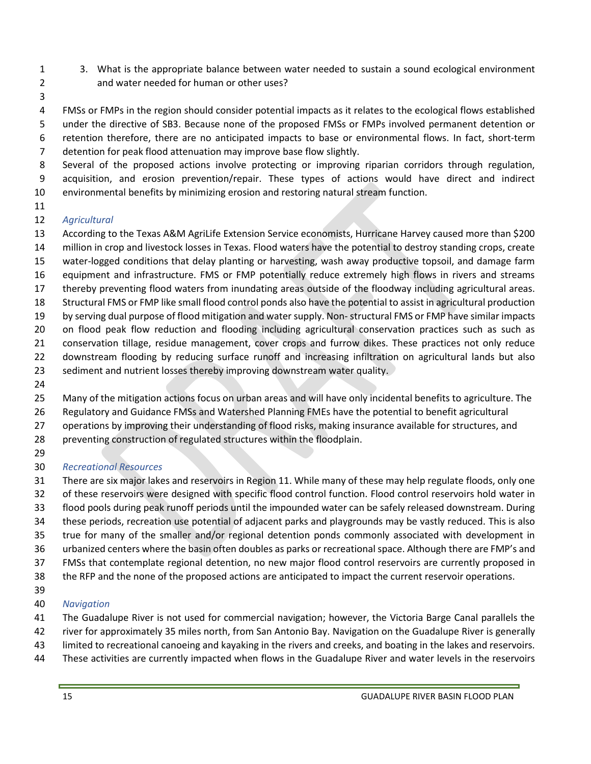- 3. What is the appropriate balance between water needed to sustain a sound ecological environment and water needed for human or other uses?
- 

 FMSs or FMPs in the region should consider potential impacts as it relates to the ecological flows established under the directive of SB3. Because none of the proposed FMSs or FMPs involved permanent detention or retention therefore, there are no anticipated impacts to base or environmental flows. In fact, short-term

detention for peak flood attenuation may improve base flow slightly.

 Several of the proposed actions involve protecting or improving riparian corridors through regulation, acquisition, and erosion prevention/repair. These types of actions would have direct and indirect environmental benefits by minimizing erosion and restoring natural stream function.

## *Agricultural*

 According to the Texas A&M AgriLife Extension Service economists, Hurricane Harvey caused more than \$200 million in crop and livestock losses in Texas. Flood waters have the potential to destroy standing crops, create water-logged conditions that delay planting or harvesting, wash away productive topsoil, and damage farm equipment and infrastructure. FMS or FMP potentially reduce extremely high flows in rivers and streams thereby preventing flood waters from inundating areas outside of the floodway including agricultural areas. Structural FMS or FMP like small flood control ponds also have the potential to assist in agricultural production by serving dual purpose of flood mitigation and water supply. Non-structural FMS or FMP have similar impacts on flood peak flow reduction and flooding including agricultural conservation practices such as such as conservation tillage, residue management, cover crops and furrow dikes. These practices not only reduce downstream flooding by reducing surface runoff and increasing infiltration on agricultural lands but also 23 sediment and nutrient losses thereby improving downstream water quality.

Many of the mitigation actions focus on urban areas and will have only incidental benefits to agriculture. The

Regulatory and Guidance FMSs and Watershed Planning FMEs have the potential to benefit agricultural

operations by improving their understanding of flood risks, making insurance available for structures, and

preventing construction of regulated structures within the floodplain.

## *Recreational Resources*

 There are six major lakes and reservoirs in Region 11. While many of these may help regulate floods, only one of these reservoirs were designed with specific flood control function. Flood control reservoirs hold water in flood pools during peak runoff periods until the impounded water can be safely released downstream. During these periods, recreation use potential of adjacent parks and playgrounds may be vastly reduced. This is also true for many of the smaller and/or regional detention ponds commonly associated with development in urbanized centers where the basin often doubles as parks or recreational space. Although there are FMP's and FMSs that contemplate regional detention, no new major flood control reservoirs are currently proposed in

the RFP and the none of the proposed actions are anticipated to impact the current reservoir operations.

## *Navigation*

The Guadalupe River is not used for commercial navigation; however, the Victoria Barge Canal parallels the

- river for approximately 35 miles north, from San Antonio Bay. Navigation on the Guadalupe River is generally
- limited to recreational canoeing and kayaking in the rivers and creeks, and boating in the lakes and reservoirs.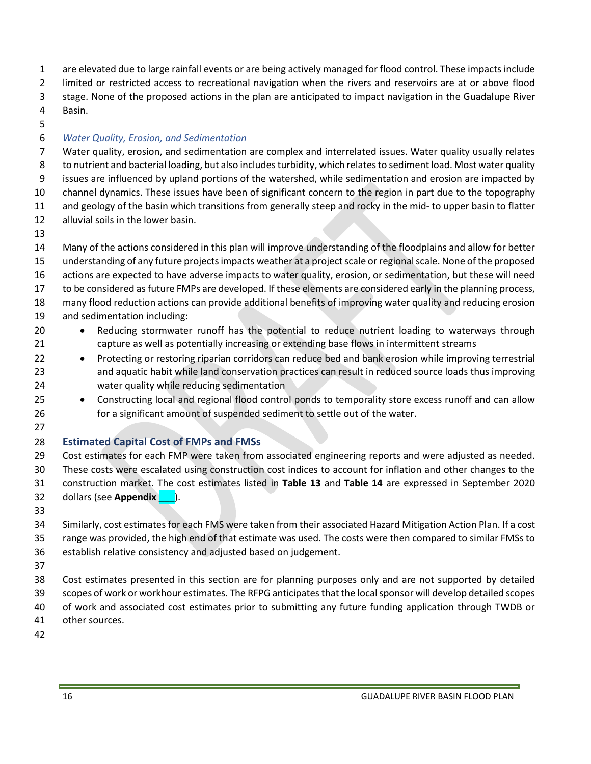are elevated due to large rainfall events or are being actively managed for flood control. These impacts include limited or restricted access to recreational navigation when the rivers and reservoirs are at or above flood

stage. None of the proposed actions in the plan are anticipated to impact navigation in the Guadalupe River

- Basin.
- 

## *Water Quality, Erosion, and Sedimentation*

 Water quality, erosion, and sedimentation are complex and interrelated issues. Water quality usually relates to nutrient and bacterial loading, but also includes turbidity, which relates to sediment load. Most water quality issues are influenced by upland portions of the watershed, while sedimentation and erosion are impacted by channel dynamics. These issues have been of significant concern to the region in part due to the topography and geology of the basin which transitions from generally steep and rocky in the mid- to upper basin to flatter alluvial soils in the lower basin.

 Many of the actions considered in this plan will improve understanding of the floodplains and allow for better understanding of any future projects impacts weather at a project scale or regional scale. None of the proposed actions are expected to have adverse impacts to water quality, erosion, or sedimentation, but these will need to be considered as future FMPs are developed. If these elements are considered early in the planning process, many flood reduction actions can provide additional benefits of improving water quality and reducing erosion and sedimentation including: • Reducing stormwater runoff has the potential to reduce nutrient loading to waterways through

- capture as well as potentially increasing or extending base flows in intermittent streams
- 22 Protecting or restoring riparian corridors can reduce bed and bank erosion while improving terrestrial and aquatic habit while land conservation practices can result in reduced source loads thus improving water quality while reducing sedimentation
- 25 Constructing local and regional flood control ponds to temporality store excess runoff and can allow for a significant amount of suspended sediment to settle out of the water.

## **Estimated Capital Cost of FMPs and FMSs**

 Cost estimates for each FMP were taken from associated engineering reports and were adjusted as needed. These costs were escalated using construction cost indices to account for inflation and other changes to the construction market. The cost estimates listed in **Table 13** and **Table 14** are expressed in September 2020 dollars (see **Appendix** \_\_\_).

 Similarly, cost estimates for each FMS were taken from their associated Hazard Mitigation Action Plan. If a cost range was provided, the high end of that estimate was used. The costs were then compared to similar FMSs to establish relative consistency and adjusted based on judgement.

 Cost estimates presented in this section are for planning purposes only and are not supported by detailed scopes of work or workhour estimates. The RFPG anticipates that the local sponsor will develop detailed scopes of work and associated cost estimates prior to submitting any future funding application through TWDB or other sources.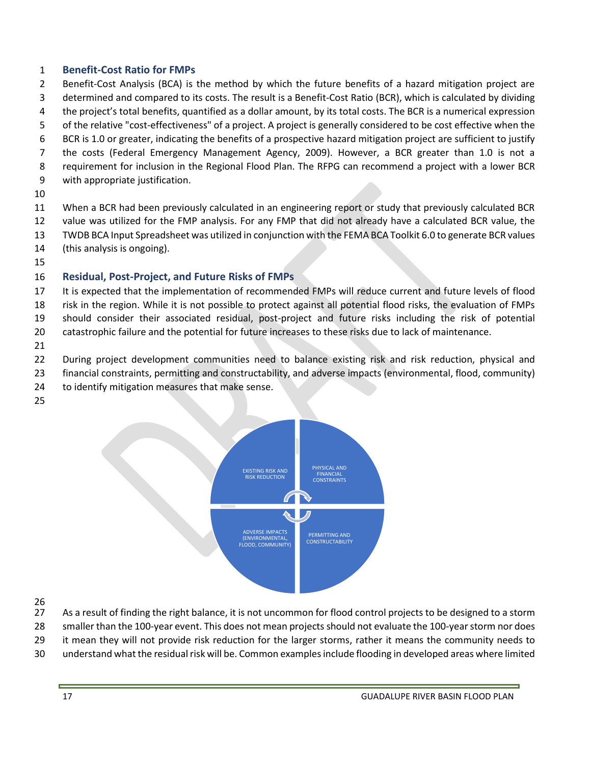## **Benefit-Cost Ratio for FMPs**

- Benefit-Cost Analysis (BCA) is the method by which the future benefits of a hazard mitigation project are determined and compared to its costs. The result is a Benefit-Cost Ratio (BCR), which is calculated by dividing
- the project's total benefits, quantified as a dollar amount, by its total costs. The BCR is a numerical expression
- of the relative "cost-effectiveness" of a project. A project is generally considered to be cost effective when the
- BCR is 1.0 or greater, indicating the benefits of a prospective hazard mitigation project are sufficient to justify
- the costs (Federal Emergency Management Agency, 2009). However, a BCR greater than 1.0 is not a
- requirement for inclusion in the Regional Flood Plan. The RFPG can recommend a project with a lower BCR
- with appropriate justification.
- 

 When a BCR had been previously calculated in an engineering report or study that previously calculated BCR value was utilized for the FMP analysis. For any FMP that did not already have a calculated BCR value, the

- TWDB BCA Input Spreadsheet was utilized in conjunction with the FEMA BCA Toolkit 6.0 to generate BCR values
- (this analysis is ongoing).
- 

## **Residual, Post-Project, and Future Risks of FMPs**

It is expected that the implementation of recommended FMPs will reduce current and future levels of flood

 risk in the region. While it is not possible to protect against all potential flood risks, the evaluation of FMPs should consider their associated residual, post-project and future risks including the risk of potential

catastrophic failure and the potential for future increases to these risks due to lack of maintenance.

During project development communities need to balance existing risk and risk reduction, physical and

- financial constraints, permitting and constructability, and adverse impacts (environmental, flood, community)
- to identify mitigation measures that make sense.
- 



26<br>27

As a result of finding the right balance, it is not uncommon for flood control projects to be designed to a storm

smaller than the 100-year event. This does not mean projects should not evaluate the 100-year storm nor does

it mean they will not provide risk reduction for the larger storms, rather it means the community needs to

understand what the residual risk will be. Common examples include flooding in developed areas where limited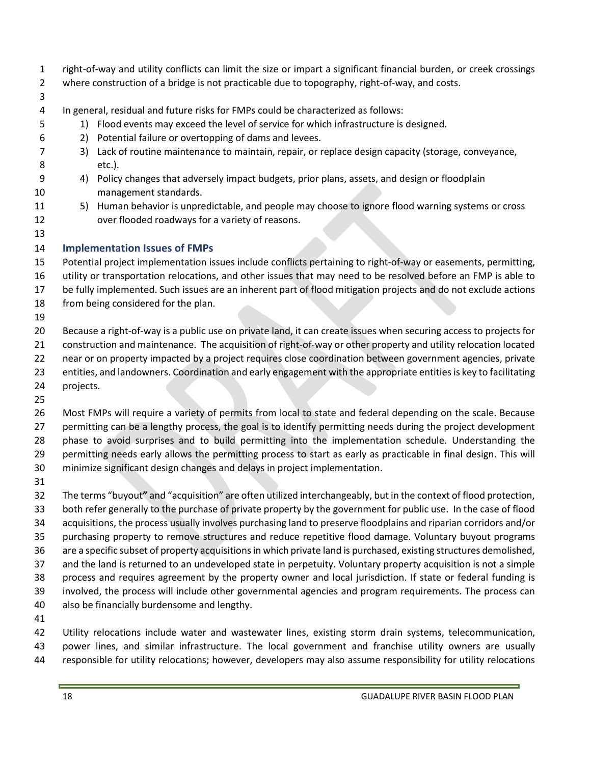- right-of-way and utility conflicts can limit the size or impart a significant financial burden, or creek crossings
- where construction of a bridge is not practicable due to topography, right-of-way, and costs.
- 
- In general, residual and future risks for FMPs could be characterized as follows:
- 1) Flood events may exceed the level of service for which infrastructure is designed.
- 2) Potential failure or overtopping of dams and levees.
- 3) Lack of routine maintenance to maintain, repair, or replace design capacity (storage, conveyance, etc.).
- 4) Policy changes that adversely impact budgets, prior plans, assets, and design or floodplain management standards.
- 5) Human behavior is unpredictable, and people may choose to ignore flood warning systems or cross over flooded roadways for a variety of reasons.
- 

## **Implementation Issues of FMPs**

- Potential project implementation issues include conflicts pertaining to right-of-way or easements, permitting, utility or transportation relocations, and other issues that may need to be resolved before an FMP is able to
- be fully implemented. Such issues are an inherent part of flood mitigation projects and do not exclude actions
- from being considered for the plan.
- 

 Because a right-of-way is a public use on private land, it can create issues when securing access to projects for construction and maintenance. The acquisition of right-of-way or other property and utility relocation located near or on property impacted by a project requires close coordination between government agencies, private entities, and landowners. Coordination and early engagement with the appropriate entities is key to facilitating

 projects. 

 Most FMPs will require a variety of permits from local to state and federal depending on the scale. Because permitting can be a lengthy process, the goal is to identify permitting needs during the project development phase to avoid surprises and to build permitting into the implementation schedule. Understanding the permitting needs early allows the permitting process to start as early as practicable in final design. This will minimize significant design changes and delays in project implementation.

 The terms "buyout**"** and "acquisition" are often utilized interchangeably, but in the context of flood protection, both refer generally to the purchase of private property by the government for public use. In the case of flood acquisitions, the process usually involves purchasing land to preserve floodplains and riparian corridors and/or purchasing property to remove structures and reduce repetitive flood damage. Voluntary buyout programs are a specific subset of property acquisitions in which private land is purchased, existing structures demolished, and the land is returned to an undeveloped state in perpetuity. Voluntary property acquisition is not a simple process and requires agreement by the property owner and local jurisdiction. If state or federal funding is involved, the process will include other governmental agencies and program requirements. The process can also be financially burdensome and lengthy.

 Utility relocations include water and wastewater lines, existing storm drain systems, telecommunication, power lines, and similar infrastructure. The local government and franchise utility owners are usually responsible for utility relocations; however, developers may also assume responsibility for utility relocations